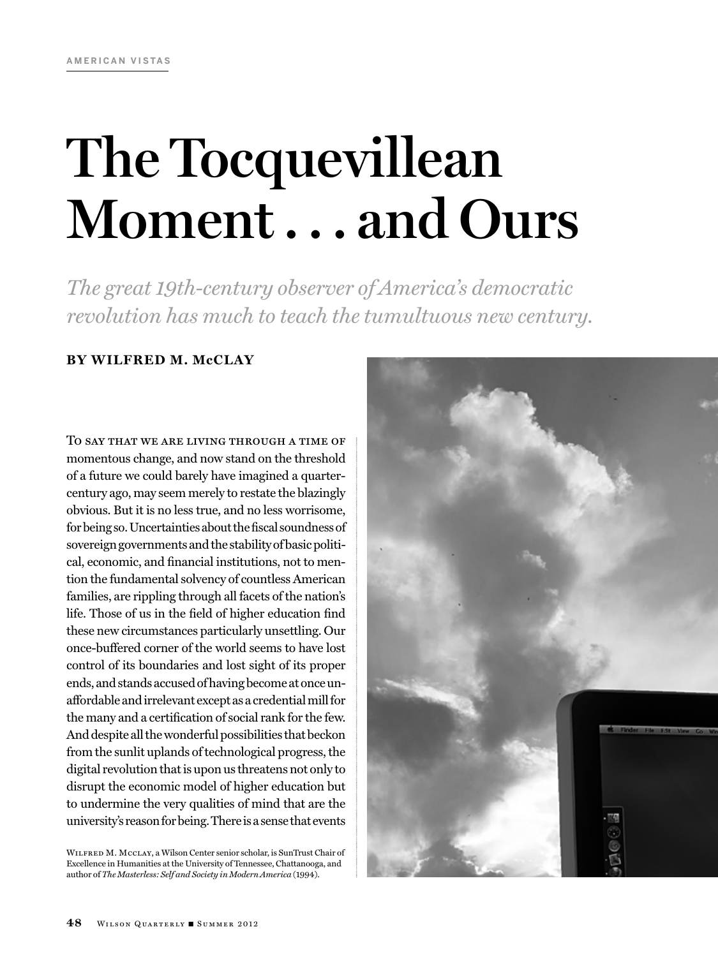## **The Tocquevillean Moment . . . and Ours**

*The great 19th-century observer of America's democratic revolution has much to teach the tumultuous new century.*

## **BY WILFRED M. McCLAY**

To say that we are living through a time of momentous change, and now stand on the threshold of a future we could barely have imagined a quartercentury ago, may seem merely to restate the blazingly obvious. But it is no less true, and no less worrisome, for being so. Uncertainties about the fiscal soundness of sovereign governments and the stability of basic political, economic, and financial institutions, not to mention the fundamental solvency of countless American families, are rippling through all facets of the nation's life. Those of us in the field of higher education find these new circumstances particularly unsettling. Our once-buffered corner of the world seems to have lost control of its boundaries and lost sight of its proper ends, and stands accused of having become at once unaffordable and irrelevant except as a credential mill for the many and a certification of social rank for the few. And despite all the wonderful possibilities that beckon from the sunlit uplands of technological progress, the digital revolution that is upon us threatens not only to disrupt the economic model of higher education but to undermine the very qualities of mind that are the university's reason for being. There is a sense that events

Wilfred M. Mcclay, a Wilson Center senior scholar, is SunTrust Chair of Excellence in Humanities at the University of Tennessee, Chattanooga, and author of *The Masterless: Self and Society in Modern America* (1994).

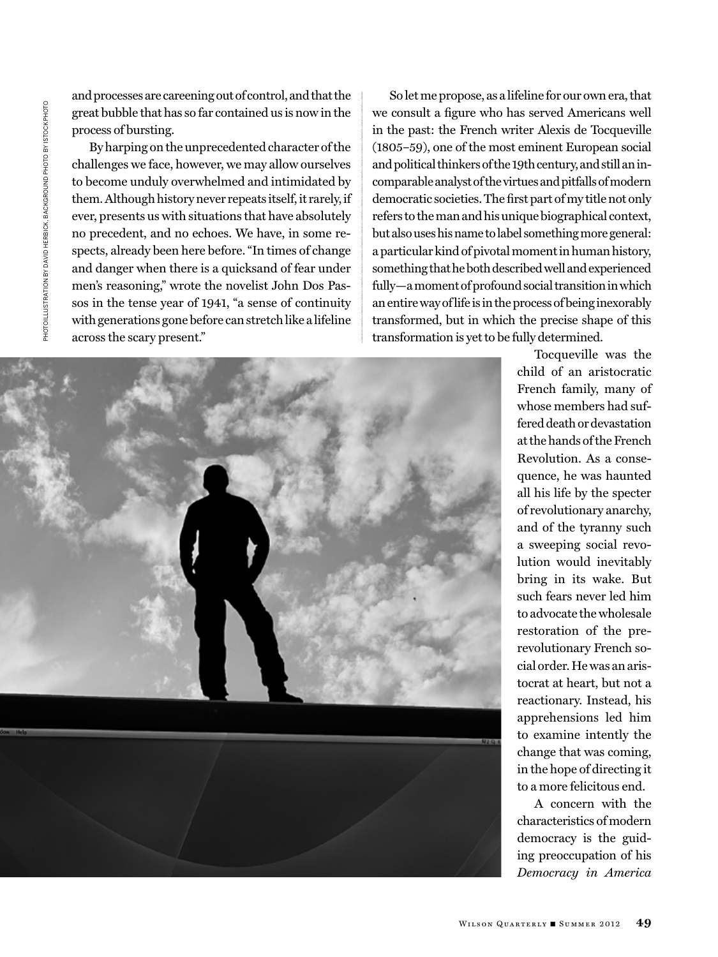and processes are careening out of control, and that the great bubble that has so far contained us is now in the process of bursting.

By harping on the unprecedented character of the challenges we face, however, we may allow ourselves to become unduly overwhelmed and intimidated by them. Although history never repeats itself, it rarely, if ever, presents us with situations that have absolutely no precedent, and no echoes. We have, in some respects, already been here before. "In times of change and danger when there is a quicksand of fear under men's reasoning," wrote the novelist John Dos Passos in the tense year of 1941, "a sense of continuity with generations gone before can stretch like a lifeline across the scary present."

So let me propose, as a lifeline for our own era, that we consult a figure who has served Americans well in the past: the French writer Alexis de Tocqueville (1805–59), one of the most eminent European social and political thinkers of the 19th century, and still an incomparable analyst of the virtues and pitfalls of modern democratic societies. The first part of my title not only refers to the man and his unique biographical context, but also uses his name to label something more general: a particular kind of pivotal moment in human history, something that he both described well and experienced fully—a moment of profound social transition in which an entire way of life is in the process of being inexorably transformed, but in which the precise shape of this transformation is yet to be fully determined.



Tocqueville was the child of an aristocratic French family, many of whose members had suffered death or devastation at the hands of the French Revolution. As a consequence, he was haunted all his life by the specter of revolutionary anarchy, and of the tyranny such a sweeping social revolution would inevitably bring in its wake. But such fears never led him to advocate the wholesale restoration of the prerevolutionary French social order. He was an aristocrat at heart, but not a reactionary. Instead, his apprehensions led him to examine intently the change that was coming, in the hope of directing it to a more felicitous end.

A concern with the characteristics of modern democracy is the guiding preoccupation of his *Democracy in America*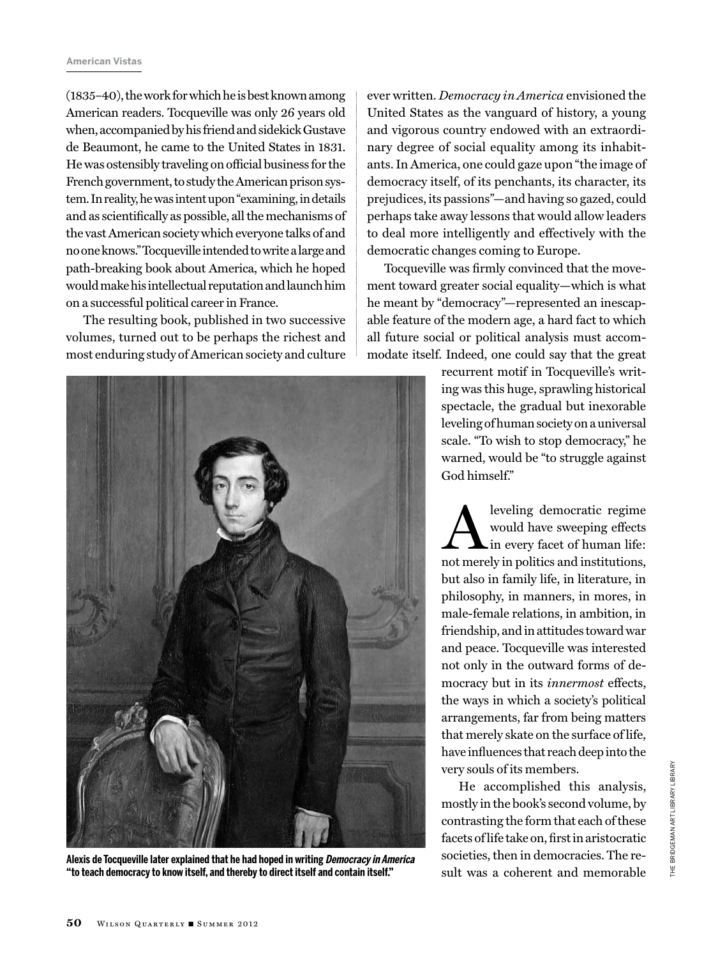(1835–40), the work for which he is best known among American readers. Tocqueville was only 26 years old when, accompanied by his friend and sidekick Gustave de Beaumont, he came to the United States in 1831. He was ostensibly traveling on official business for the French government, to study the American prison system. In reality, he was intent upon "examining, in details and as scientifically as possible, all the mechanisms of the vast American society which everyone talks of and no one knows." Tocqueville intended to write a large and path-breaking book about America, which he hoped would make his intellectual reputation and launch him on a successful political career in France.

The resulting book, published in two successive volumes, turned out to be perhaps the richest and most enduring study of American society and culture



**Alexis de Tocqueville later explained that he had hoped in writing Democracy in America "to teach democracy to know itself, and thereby to direct itself and contain itself."**

ever written. *Democracy in America* envisioned the United States as the vanguard of history, a young and vigorous country endowed with an extraordinary degree of social equality among its inhabitants. In America, one could gaze upon "the image of democracy itself, of its penchants, its character, its prejudices, its passions"—and having so gazed, could perhaps take away lessons that would allow leaders to deal more intelligently and effectively with the democratic changes coming to Europe.

Tocqueville was firmly convinced that the movement toward greater social equality—which is what he meant by "democracy"—represented an inescapable feature of the modern age, a hard fact to which all future social or political analysis must accommodate itself. Indeed, one could say that the great

> recurrent motif in Tocqueville's writing was this huge, sprawling historical spectacle, the gradual but inexorable leveling of human society on a universal scale. "To wish to stop democracy," he warned, would be "to struggle against God himself"

> Aleveling democratic regime<br>would have sweeping effects<br>in every facet of human life: would have sweeping effects in every facet of human life: not merely in politics and institutions, but also in family life, in literature, in philosophy, in manners, in mores, in male-female relations, in ambition, in friendship, and in attitudes toward war and peace. Tocqueville was interested not only in the outward forms of democracy but in its *innermost* effects, the ways in which a society's political arrangements, far from being matters that merely skate on the surface of life, have influences that reach deep into the very souls of its members.

> He accomplished this analysis, mostly in the book's second volume, by contrasting the form that each of these facets of life take on, first in aristocratic societies, then in democracies. The result was a coherent and memorable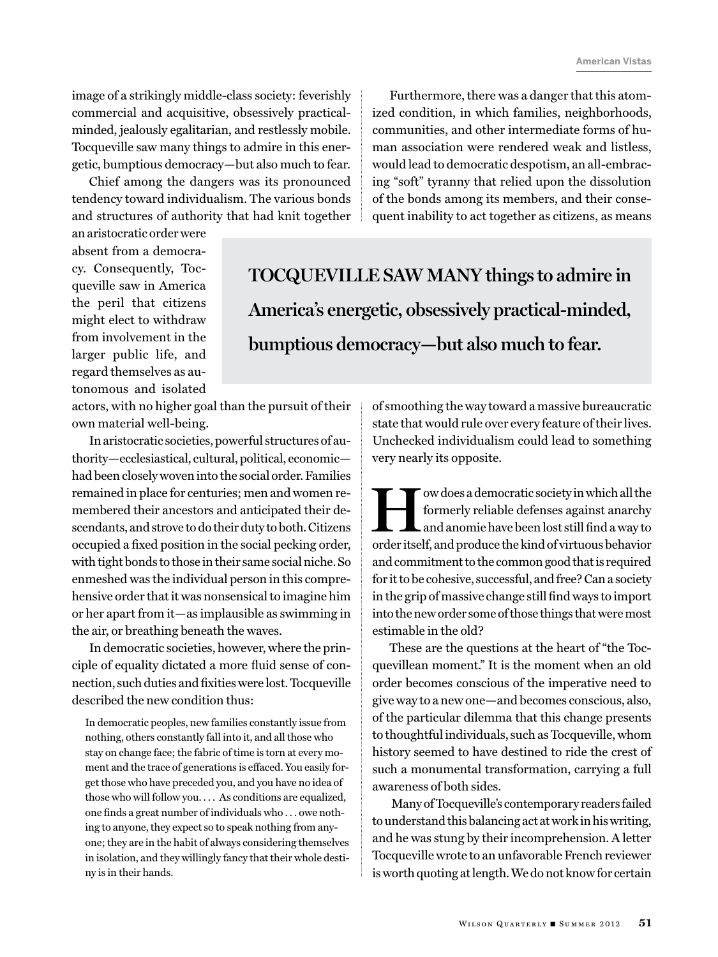image of a strikingly middle-class society: feverishly commercial and acquisitive, obsessively practicalminded, jealously egalitarian, and restlessly mobile. Tocqueville saw many things to admire in this energetic, bumptious democracy—but also much to fear.

Chief among the dangers was its pronounced tendency toward individualism. The various bonds and structures of authority that had knit together

Furthermore, there was a danger that this atomized condition, in which families, neighborhoods, communities, and other intermediate forms of human association were rendered weak and listless, would lead to democratic despotism, an all-embracing "soft" tyranny that relied upon the dissolution of the bonds among its members, and their consequent inability to act together as citizens, as means

an aristocratic order were absent from a democracy. Consequently, Tocqueville saw in America the peril that citizens might elect to withdraw from involvement in the larger public life, and regard themselves as autonomous and isolated

**Tocqueville saw many things to admire in America's energetic, obsessively practical-minded, bumptious democracy—but also much to fear.** 

actors, with no higher goal than the pursuit of their own material well-being.

In aristocratic societies, powerful structures of authority—ecclesiastical, cultural, political, economic had been closely woven into the social order. Families remained in place for centuries; men and women remembered their ancestors and anticipated their descendants, and strove to do their duty to both. Citizens occupied a fixed position in the social pecking order, with tight bonds to those in their same social niche. So enmeshed was the individual person in this comprehensive order that it was nonsensical to imagine him or her apart from it—as implausible as swimming in the air, or breathing beneath the waves.

In democratic societies, however, where the principle of equality dictated a more fluid sense of connection, such duties and fixities were lost. Tocqueville described the new condition thus:

In democratic peoples, new families constantly issue from nothing, others constantly fall into it, and all those who stay on change face; the fabric of time is torn at every moment and the trace of generations is effaced. You easily forget those who have preceded you, and you have no idea of those who will follow you. . . . As conditions are equalized, one finds a great number of individuals who . . . owe nothing to anyone, they expect so to speak nothing from anyone; they are in the habit of always considering themselves in isolation, and they willingly fancy that their whole destiny is in their hands.

of smoothing the way toward a massive bureaucratic state that would rule over every feature of their lives. Unchecked individualism could lead to something very nearly its opposite.

Fow does a democratic society in which all the<br>formerly reliable defenses against anarchy<br>and anomie have been lost still find a way to formerly reliable defenses against anarchy order itself, and produce the kind of virtuous behavior and commitment to the common good that is required for it to be cohesive, successful, and free? Can a society in the grip of massive change still find ways to import into the new order some of those things that were most estimable in the old?

These are the questions at the heart of "the Tocquevillean moment." It is the moment when an old order becomes conscious of the imperative need to give way to a new one—and becomes conscious, also, of the particular dilemma that this change presents to thoughtful individuals, such as Tocqueville, whom history seemed to have destined to ride the crest of such a monumental transformation, carrying a full awareness of both sides.

 Many of Tocqueville's contemporary readers failed to understand this balancing act at work in his writing, and he was stung by their incomprehension. A letter Tocqueville wrote to an unfavorable French reviewer is worth quoting at length. We do not know for certain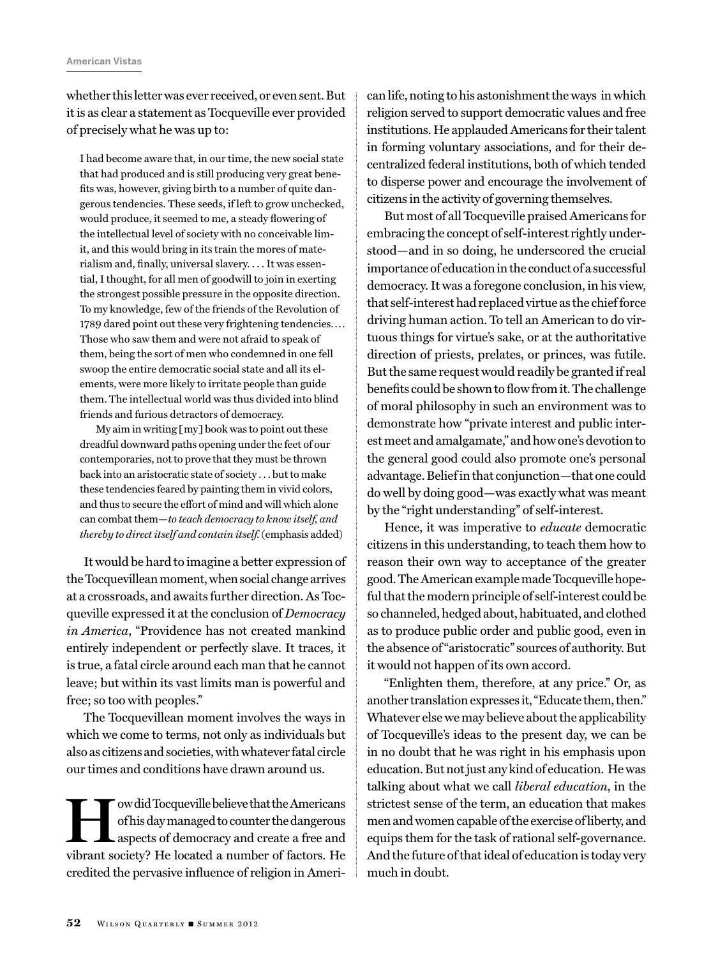## **American Vistas**

whether this letter was ever received, or even sent. But it is as clear a statement as Tocqueville ever provided of precisely what he was up to:

I had become aware that, in our time, the new social state that had produced and is still producing very great benefits was, however, giving birth to a number of quite dangerous tendencies. These seeds, if left to grow unchecked, would produce, it seemed to me, a steady flowering of the intellectual level of society with no conceivable limit, and this would bring in its train the mores of materialism and, finally, universal slavery. . . . It was essential, I thought, for all men of goodwill to join in exerting the strongest possible pressure in the opposite direction. To my knowledge, few of the friends of the Revolution of 1789 dared point out these very frightening tendencies. . . . Those who saw them and were not afraid to speak of them, being the sort of men who condemned in one fell swoop the entire democratic social state and all its elements, were more likely to irritate people than guide them. The intellectual world was thus divided into blind friends and furious detractors of democracy.

My aim in writing [my] book was to point out these dreadful downward paths opening under the feet of our contemporaries, not to prove that they must be thrown back into an aristocratic state of society . . . but to make these tendencies feared by painting them in vivid colors, and thus to secure the effort of mind and will which alone can combat them—*to teach democracy to know itself, and thereby to direct itself and contain itself.* (emphasis added)

It would be hard to imagine a better expression of the Tocquevillean moment, when social change arrives at a crossroads, and awaits further direction. As Tocqueville expressed it at the conclusion of *Democracy in America*, "Providence has not created mankind entirely independent or perfectly slave. It traces, it is true, a fatal circle around each man that he cannot leave; but within its vast limits man is powerful and free; so too with peoples."

The Tocquevillean moment involves the ways in which we come to terms, not only as individuals but also as citizens and societies, with whatever fatal circle our times and conditions have drawn around us.

Fow did Tocqueville believe that the Americans<br>of his day managed to counter the dangerous<br>aspects of democracy and create a free and<br>vibrant society? He leasted a number of fotography of his day managed to counter the dangerous aspects of democracy and create a free and vibrant society? He located a number of factors. He credited the pervasive influence of religion in American life, noting to his astonishment the ways in which religion served to support democratic values and free institutions. He applauded Americans for their talent in forming voluntary associations, and for their decentralized federal institutions, both of which tended to disperse power and encourage the involvement of citizens in the activity of governing themselves.

But most of all Tocqueville praised Americans for embracing the concept of self-interest rightly understood—and in so doing, he underscored the crucial importance of education in the conduct of a successful democracy. It was a foregone conclusion, in his view, that self-interest had replaced virtue as the chief force driving human action. To tell an American to do virtuous things for virtue's sake, or at the authoritative direction of priests, prelates, or princes, was futile. But the same request would readily be granted if real benefits could be shown to flow from it. The challenge of moral philosophy in such an environment was to demonstrate how "private interest and public interest meet and amalgamate," and how one's devotion to the general good could also promote one's personal advantage. Belief in that conjunction—that one could do well by doing good—was exactly what was meant by the "right understanding" of self-interest.

Hence, it was imperative to *educate* democratic citizens in this understanding, to teach them how to reason their own way to acceptance of the greater good. The American example made Tocqueville hopeful that the modern principle of self-interest could be so channeled, hedged about, habituated, and clothed as to produce public order and public good, even in the absence of "aristocratic" sources of authority. But it would not happen of its own accord.

"Enlighten them, therefore, at any price." Or, as another translation expresses it, "Educate them, then." Whatever else we may believe about the applicability of Tocqueville's ideas to the present day, we can be in no doubt that he was right in his emphasis upon education. But not just any kind of education. He was talking about what we call *liberal education*, in the strictest sense of the term, an education that makes men and women capable of the exercise of liberty, and equips them for the task of rational self-governance. And the future of that ideal of education is today very much in doubt.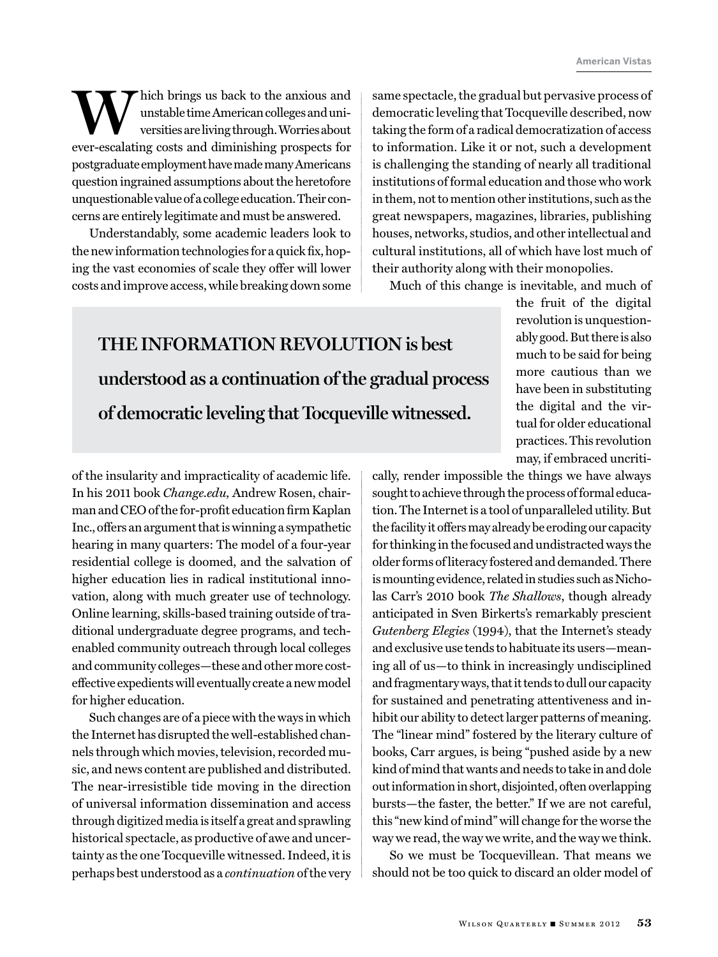Which brings us back to the anxious and<br>unstable time American colleges and universities are living through. Worries about unstable timeAmerican colleges and universities are living through. Worries about ever-escalating costs and diminishing prospects for postgraduate employment have made many Americans question ingrained assumptions about the heretofore unquestionable value of a college education. Their concerns are entirely legitimate and must be answered.

Understandably, some academic leaders look to the new information technologies for a quick fix, hoping the vast economies of scale they offer will lower costs and improve access, while breaking down some same spectacle, the gradual but pervasive process of democratic leveling that Tocqueville described, now taking the form of a radical democratization of access to information. Like it or not, such a development is challenging the standing of nearly all traditional institutions of formal education and those who work in them, not to mention other institutions, such as the great newspapers, magazines, libraries, publishing houses, networks, studios, and other intellectual and cultural institutions, all of which have lost much of their authority along with their monopolies.

Much of this change is inevitable, and much of

**The information revolution is best understood as a continuation of the gradual process of democratic leveling that Tocqueville witnessed.** 

the fruit of the digital revolution is unquestionably good. But there is also much to be said for being more cautious than we have been in substituting the digital and the virtual for older educational practices. This revolution may, if embraced uncriti-

of the insularity and impracticality of academic life. In his 2011 book *Change.edu,* Andrew Rosen, chairman and CEO of the for-profit education firm Kaplan Inc., offers an argument that is winning a sympathetic hearing in many quarters: The model of a four-year residential college is doomed, and the salvation of higher education lies in radical institutional innovation, along with much greater use of technology. Online learning, skills-based training outside of traditional undergraduate degree programs, and techenabled community outreach through local colleges and community colleges—these and other more costeffective expedients will eventually create a new model for higher education.

Such changes are of a piece with the ways in which the Internet has disrupted the well-established channels through which movies, television, recorded music, and news content are published and distributed. The near-irresistible tide moving in the direction of universal information dissemination and access through digitized media is itself a great and sprawling historical spectacle, as productive of awe and uncertainty as the one Tocqueville witnessed. Indeed, it is perhaps best understood as a *continuation* of the very cally, render impossible the things we have always sought to achieve through the process of formal education. The Internet is a tool of unparalleled utility. But the facility it offers may already be eroding our capacity for thinking in the focused and undistracted ways the older forms of literacy fostered and demanded. There is mounting evidence, related in studies such as Nicholas Carr's 2010 book *The Shallows*, though already anticipated in Sven Birkerts's remarkably prescient *Gutenberg Elegies* (1994), that the Internet's steady and exclusive use tends to habituate its users—meaning all of us—to think in increasingly undisciplined and fragmentary ways, that it tends to dull our capacity for sustained and penetrating attentiveness and inhibit our ability to detect larger patterns of meaning. The "linear mind" fostered by the literary culture of books, Carr argues, is being "pushed aside by a new kind of mind that wants and needs to take in and dole out information in short, disjointed, often overlapping bursts—the faster, the better." If we are not careful, this "new kind of mind" will change for the worse the way we read, the way we write, and the way we think.

So we must be Tocquevillean. That means we should not be too quick to discard an older model of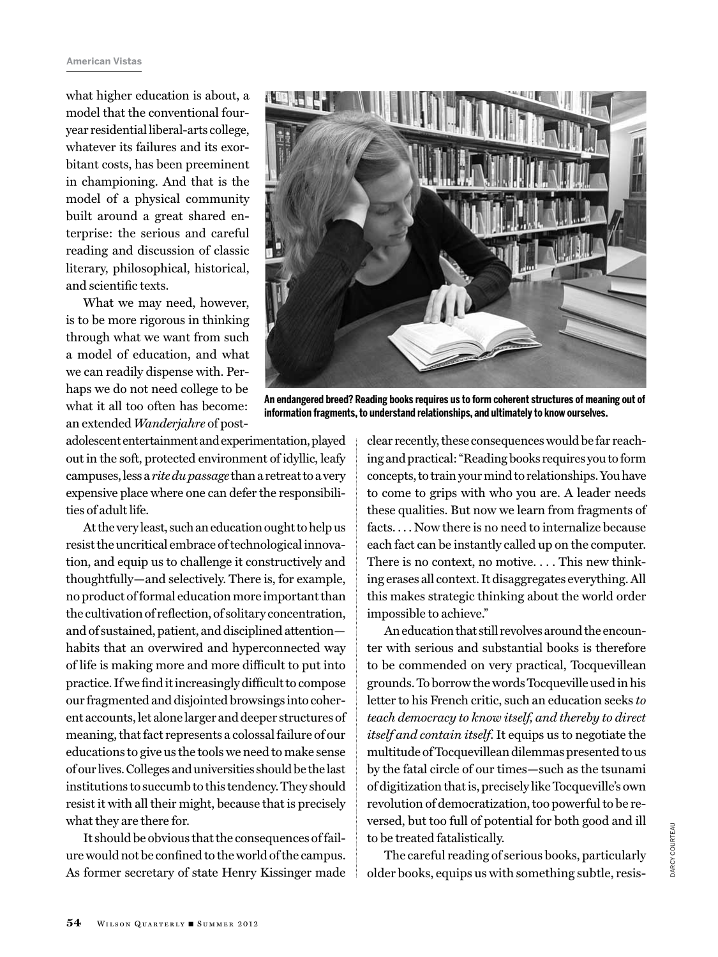what higher education is about, a model that the conventional fouryear residential liberal-arts college, whatever its failures and its exorbitant costs, has been preeminent in championing. And that is the model of a physical community built around a great shared enterprise: the serious and careful reading and discussion of classic literary, philosophical, historical, and scientific texts.

What we may need, however, is to be more rigorous in thinking through what we want from such a model of education, and what we can readily dispense with. Perhaps we do not need college to be what it all too often has become: an extended *Wanderjahre* of post-

**An endangered breed? Reading books requires us to form coherent structures of meaning out of information fragments, to understand relationships, and ultimately to know ourselves.** 

adolescent entertainment and experimentation, played out in the soft, protected environment of idyllic, leafy campuses, less a *rite du passage* than a retreat to a very expensive place where one can defer the responsibilities of adult life.

At the very least, such an education ought to help us resist the uncritical embrace of technological innovation, and equip us to challenge it constructively and thoughtfully—and selectively. There is, for example, no product of formal education more important than the cultivation of reflection, of solitary concentration, and of sustained, patient, and disciplined attention habits that an overwired and hyperconnected way of life is making more and more difficult to put into practice. If we find it increasingly difficult to compose our fragmented and disjointed browsings into coherent accounts, let alone larger and deeper structures of meaning, that fact represents a colossal failure of our educations to give us the tools we need to make sense of our lives. Colleges and universities should be the last institutions to succumb to this tendency. They should resist it with all their might, because that is precisely what they are there for.

It should be obvious that the consequences of failure would not be confined to the world of the campus. As former secretary of state Henry Kissinger made clear recently, these consequences would be far reaching and practical: "Reading books requires you to form concepts, to train your mind to relationships. You have to come to grips with who you are. A leader needs these qualities. But now we learn from fragments of facts. . . . Now there is no need to internalize because each fact can be instantly called up on the computer. There is no context, no motive. . . . This new thinking erases all context. It disaggregates everything. All this makes strategic thinking about the world order impossible to achieve."

An education that still revolves around the encounter with serious and substantial books is therefore to be commended on very practical, Tocquevillean grounds. To borrow the words Tocqueville used in his letter to his French critic, such an education seeks *to teach democracy to know itself, and thereby to direct itself and contain itself*. It equips us to negotiate the multitude of Tocquevillean dilemmas presented to us by the fatal circle of our times—such as the tsunami of digitization that is, precisely like Tocqueville's own revolution of democratization, too powerful to be reversed, but too full of potential for both good and ill to be treated fatalistically.

The careful reading of serious books, particularly older books, equips us with something subtle, resis